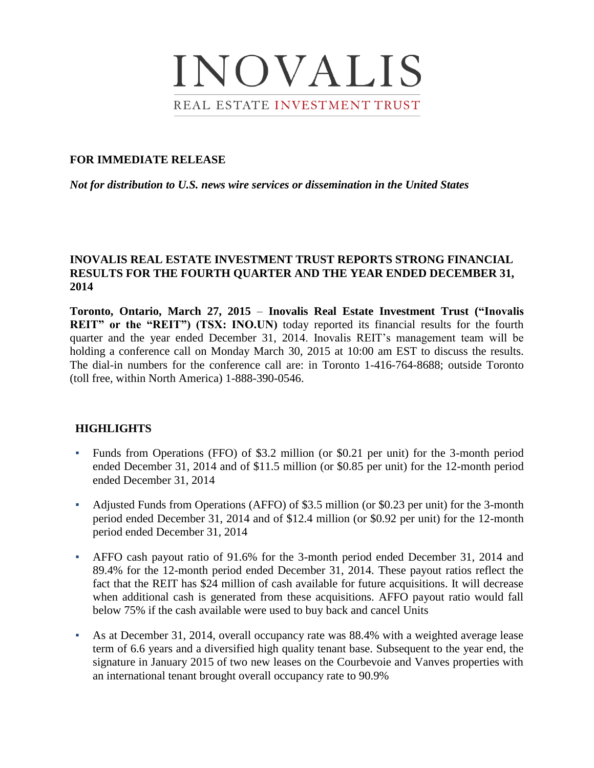

### **FOR IMMEDIATE RELEASE**

*Not for distribution to U.S. news wire services or dissemination in the United States*

## **INOVALIS REAL ESTATE INVESTMENT TRUST REPORTS STRONG FINANCIAL RESULTS FOR THE FOURTH QUARTER AND THE YEAR ENDED DECEMBER 31, 2014**

**Toronto, Ontario, March 27, 2015** – **Inovalis Real Estate Investment Trust ("Inovalis REIT"** or the "REIT") (TSX: INO.UN) today reported its financial results for the fourth quarter and the year ended December 31, 2014. Inovalis REIT's management team will be holding a conference call on Monday March 30, 2015 at 10:00 am EST to discuss the results. The dial-in numbers for the conference call are: in Toronto 1-416-764-8688; outside Toronto (toll free, within North America) 1-888-390-0546.

### **HIGHLIGHTS**

- Funds from Operations (FFO) of \$3.2 million (or \$0.21 per unit) for the 3-month period ended December 31, 2014 and of \$11.5 million (or \$0.85 per unit) for the 12-month period ended December 31, 2014
- Adjusted Funds from Operations (AFFO) of \$3.5 million (or \$0.23 per unit) for the 3-month period ended December 31, 2014 and of \$12.4 million (or \$0.92 per unit) for the 12-month period ended December 31, 2014
- AFFO cash payout ratio of 91.6% for the 3-month period ended December 31, 2014 and 89.4% for the 12-month period ended December 31, 2014. These payout ratios reflect the fact that the REIT has \$24 million of cash available for future acquisitions. It will decrease when additional cash is generated from these acquisitions. AFFO payout ratio would fall below 75% if the cash available were used to buy back and cancel Units
- As at December 31, 2014, overall occupancy rate was 88.4% with a weighted average lease term of 6.6 years and a diversified high quality tenant base. Subsequent to the year end, the signature in January 2015 of two new leases on the Courbevoie and Vanves properties with an international tenant brought overall occupancy rate to 90.9%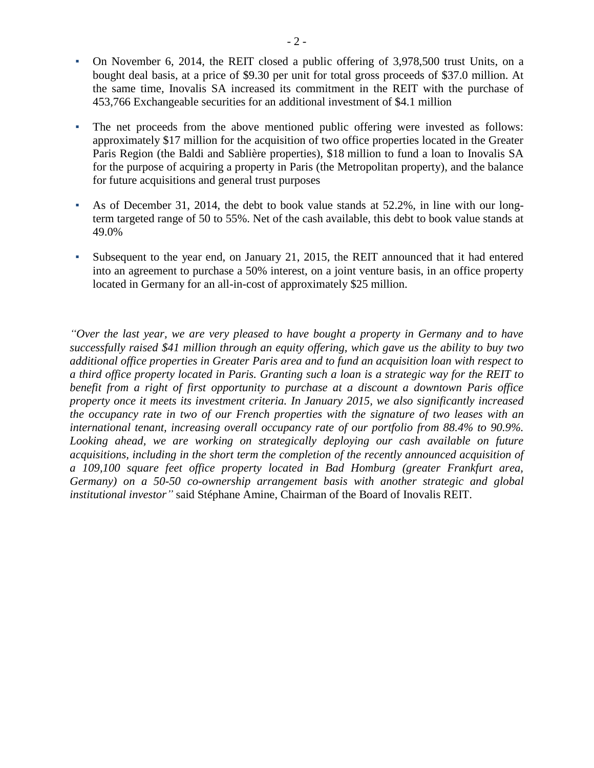- On November 6, 2014, the REIT closed a public offering of 3,978,500 trust Units, on a bought deal basis, at a price of \$9.30 per unit for total gross proceeds of \$37.0 million. At the same time, Inovalis SA increased its commitment in the REIT with the purchase of 453,766 Exchangeable securities for an additional investment of \$4.1 million
- The net proceeds from the above mentioned public offering were invested as follows: approximately \$17 million for the acquisition of two office properties located in the Greater Paris Region (the Baldi and Sablière properties), \$18 million to fund a loan to Inovalis SA for the purpose of acquiring a property in Paris (the Metropolitan property), and the balance for future acquisitions and general trust purposes
- As of December 31, 2014, the debt to book value stands at 52.2%, in line with our longterm targeted range of 50 to 55%. Net of the cash available, this debt to book value stands at 49.0%
- Subsequent to the year end, on January 21, 2015, the REIT announced that it had entered into an agreement to purchase a 50% interest, on a joint venture basis, in an office property located in Germany for an all-in-cost of approximately \$25 million.

*"Over the last year, we are very pleased to have bought a property in Germany and to have successfully raised \$41 million through an equity offering, which gave us the ability to buy two additional office properties in Greater Paris area and to fund an acquisition loan with respect to a third office property located in Paris. Granting such a loan is a strategic way for the REIT to benefit from a right of first opportunity to purchase at a discount a downtown Paris office property once it meets its investment criteria. In January 2015, we also significantly increased the occupancy rate in two of our French properties with the signature of two leases with an international tenant, increasing overall occupancy rate of our portfolio from 88.4% to 90.9%.*  Looking ahead, we are working on strategically deploying our cash available on future *acquisitions, including in the short term the completion of the recently announced acquisition of a 109,100 square feet office property located in Bad Homburg (greater Frankfurt area, Germany) on a 50-50 co-ownership arrangement basis with another strategic and global institutional investor"* said Stéphane Amine, Chairman of the Board of Inovalis REIT.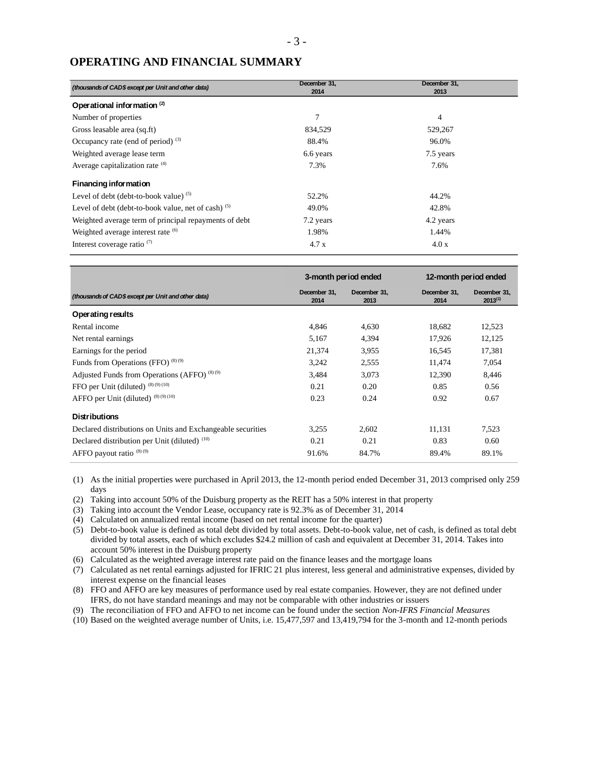# **OPERATING AND FINANCIAL SUMMARY**

| (thousands of CAD\$ except per Unit and other data)   | December 31,<br>2014 | December 31,<br>2013 |
|-------------------------------------------------------|----------------------|----------------------|
| Operational information <sup>(2)</sup>                |                      |                      |
| Number of properties                                  | $\overline{7}$       | 4                    |
| Gross leasable area (sq.ft)                           | 834,529              | 529,267              |
| Occupancy rate (end of period) $(3)$                  | 88.4%                | 96.0%                |
| Weighted average lease term                           | 6.6 years            | 7.5 years            |
| Average capitalization rate (4)                       | 7.3%                 | 7.6%                 |
| <b>Financing information</b>                          |                      |                      |
| Level of debt (debt-to-book value) $(5)$              | 52.2%                | 44.2%                |
| Level of debt (debt-to-book value, net of cash) $(5)$ | 49.0%                | 42.8%                |
| Weighted average term of principal repayments of debt | 7.2 years            | 4.2 years            |
| Weighted average interest rate <sup>(6)</sup>         | 1.98%                | 1.44%                |
| Interest coverage ratio $(7)$                         | 4.7x                 | 4.0x                 |

|                                                             | 3-month period ended |                      | 12-month period ended |                              |
|-------------------------------------------------------------|----------------------|----------------------|-----------------------|------------------------------|
| (thousands of CAD\$ except per Unit and other data)         | December 31.<br>2014 | December 31,<br>2013 | December 31.<br>2014  | December 31,<br>$2013^{(1)}$ |
| Operating results                                           |                      |                      |                       |                              |
| Rental income                                               | 4,846                | 4,630                | 18,682                | 12,523                       |
| Net rental earnings                                         | 5,167                | 4,394                | 17,926                | 12,125                       |
| Earnings for the period                                     | 21,374               | 3.955                | 16.545                | 17.381                       |
| Funds from Operations (FFO) $^{(8)(9)}$                     | 3,242                | 2,555                | 11,474                | 7,054                        |
| Adjusted Funds from Operations (AFFO) <sup>(8)(9)</sup>     | 3,484                | 3,073                | 12,390                | 8,446                        |
| FFO per Unit (diluted) (8) (9) (10)                         | 0.21                 | 0.20                 | 0.85                  | 0.56                         |
| AFFO per Unit (diluted) (8) (9) (10)                        | 0.23                 | 0.24                 | 0.92                  | 0.67                         |
| <b>Distributions</b>                                        |                      |                      |                       |                              |
| Declared distributions on Units and Exchangeable securities | 3.255                | 2.602                | 11,131                | 7.523                        |
| Declared distribution per Unit (diluted) (10)               | 0.21                 | 0.21                 | 0.83                  | 0.60                         |
| AFFO payout ratio $(8)(9)$                                  | 91.6%                | 84.7%                | 89.4%                 | 89.1%                        |

(1) As the initial properties were purchased in April 2013, the 12-month period ended December 31, 2013 comprised only 259 days

- (2) Taking into account 50% of the Duisburg property as the REIT has a 50% interest in that property
- (3) Taking into account the Vendor Lease, occupancy rate is 92.3% as of December 31, 2014
- (4) Calculated on annualized rental income (based on net rental income for the quarter)
- (5) Debt-to-book value is defined as total debt divided by total assets. Debt-to-book value, net of cash, is defined as total debt divided by total assets, each of which excludes \$24.2 million of cash and equivalent at December 31, 2014. Takes into account 50% interest in the Duisburg property
- (6) Calculated as the weighted average interest rate paid on the finance leases and the mortgage loans
- (7) Calculated as net rental earnings adjusted for IFRIC 21 plus interest, less general and administrative expenses, divided by interest expense on the financial leases
- (8) FFO and AFFO are key measures of performance used by real estate companies. However, they are not defined under IFRS, do not have standard meanings and may not be comparable with other industries or issuers
- (9) The reconciliation of FFO and AFFO to net income can be found under the section *Non-IFRS Financial Measures*
- (10) Based on the weighted average number of Units, i.e. 15,477,597 and 13,419,794 for the 3-month and 12-month periods